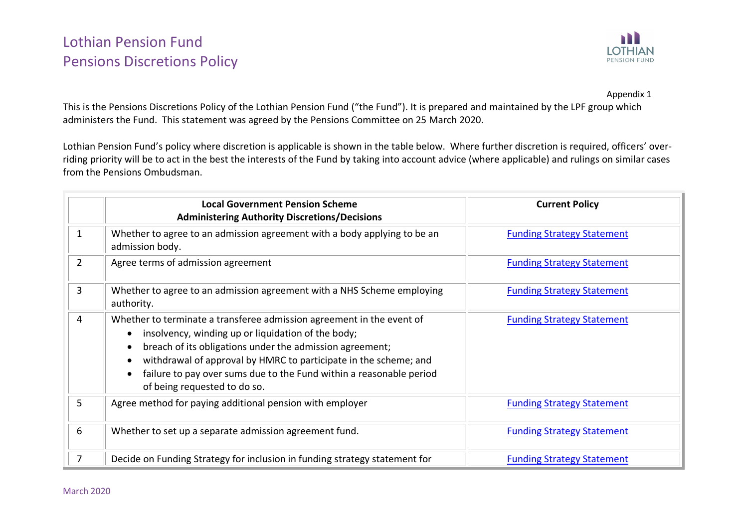## Lothian Pension Fund Pensions Discretions Policy



Appendix 1

This is the Pensions Discretions Policy of the Lothian Pension Fund ("the Fund"). It is prepared and maintained by the LPF group which administers the Fund. This statement was agreed by the Pensions Committee on 25 March 2020.

Lothian Pension Fund's policy where discretion is applicable is shown in the table below. Where further discretion is required, officers' overriding priority will be to act in the best the interests of the Fund by taking into account advice (where applicable) and rulings on similar cases from the Pensions Ombudsman.

|                | <b>Local Government Pension Scheme</b><br><b>Administering Authority Discretions/Decisions</b>                                                                                                                                                                                                                                                                     | <b>Current Policy</b>             |
|----------------|--------------------------------------------------------------------------------------------------------------------------------------------------------------------------------------------------------------------------------------------------------------------------------------------------------------------------------------------------------------------|-----------------------------------|
| 1              | Whether to agree to an admission agreement with a body applying to be an<br>admission body.                                                                                                                                                                                                                                                                        | <b>Funding Strategy Statement</b> |
| $\overline{2}$ | Agree terms of admission agreement                                                                                                                                                                                                                                                                                                                                 | <b>Funding Strategy Statement</b> |
| $\overline{3}$ | Whether to agree to an admission agreement with a NHS Scheme employing<br>authority.                                                                                                                                                                                                                                                                               | <b>Funding Strategy Statement</b> |
| 4              | Whether to terminate a transferee admission agreement in the event of<br>insolvency, winding up or liquidation of the body;<br>breach of its obligations under the admission agreement;<br>withdrawal of approval by HMRC to participate in the scheme; and<br>failure to pay over sums due to the Fund within a reasonable period<br>of being requested to do so. | <b>Funding Strategy Statement</b> |
| 5              | Agree method for paying additional pension with employer                                                                                                                                                                                                                                                                                                           | <b>Funding Strategy Statement</b> |
| 6              | Whether to set up a separate admission agreement fund.                                                                                                                                                                                                                                                                                                             | <b>Funding Strategy Statement</b> |
| 7              | Decide on Funding Strategy for inclusion in funding strategy statement for                                                                                                                                                                                                                                                                                         | <b>Funding Strategy Statement</b> |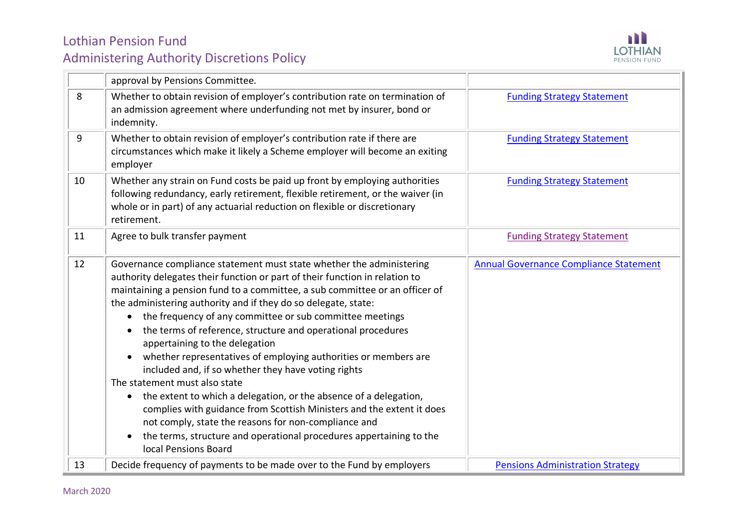

|    | approval by Pensions Committee.                                                                                                                                                                                                                                                                                                                                                                                                                                                                                                                                                                                                                                                                                                                                                                                                                                                                                                                                           |                                               |
|----|---------------------------------------------------------------------------------------------------------------------------------------------------------------------------------------------------------------------------------------------------------------------------------------------------------------------------------------------------------------------------------------------------------------------------------------------------------------------------------------------------------------------------------------------------------------------------------------------------------------------------------------------------------------------------------------------------------------------------------------------------------------------------------------------------------------------------------------------------------------------------------------------------------------------------------------------------------------------------|-----------------------------------------------|
| 8  | Whether to obtain revision of employer's contribution rate on termination of<br>an admission agreement where underfunding not met by insurer, bond or<br>indemnity.                                                                                                                                                                                                                                                                                                                                                                                                                                                                                                                                                                                                                                                                                                                                                                                                       | <b>Funding Strategy Statement</b>             |
| 9  | Whether to obtain revision of employer's contribution rate if there are<br>circumstances which make it likely a Scheme employer will become an exiting<br>employer                                                                                                                                                                                                                                                                                                                                                                                                                                                                                                                                                                                                                                                                                                                                                                                                        | <b>Funding Strategy Statement</b>             |
| 10 | Whether any strain on Fund costs be paid up front by employing authorities<br>following redundancy, early retirement, flexible retirement, or the waiver (in<br>whole or in part) of any actuarial reduction on flexible or discretionary<br>retirement.                                                                                                                                                                                                                                                                                                                                                                                                                                                                                                                                                                                                                                                                                                                  | <b>Funding Strategy Statement</b>             |
| 11 | Agree to bulk transfer payment                                                                                                                                                                                                                                                                                                                                                                                                                                                                                                                                                                                                                                                                                                                                                                                                                                                                                                                                            | <b>Funding Strategy Statement</b>             |
| 12 | Governance compliance statement must state whether the administering<br>authority delegates their function or part of their function in relation to<br>maintaining a pension fund to a committee, a sub committee or an officer of<br>the administering authority and if they do so delegate, state:<br>the frequency of any committee or sub committee meetings<br>$\bullet$<br>the terms of reference, structure and operational procedures<br>$\bullet$<br>appertaining to the delegation<br>whether representatives of employing authorities or members are<br>included and, if so whether they have voting rights<br>The statement must also state<br>the extent to which a delegation, or the absence of a delegation,<br>$\bullet$<br>complies with guidance from Scottish Ministers and the extent it does<br>not comply, state the reasons for non-compliance and<br>the terms, structure and operational procedures appertaining to the<br>local Pensions Board | <b>Annual Governance Compliance Statement</b> |
| 13 | Decide frequency of payments to be made over to the Fund by employers                                                                                                                                                                                                                                                                                                                                                                                                                                                                                                                                                                                                                                                                                                                                                                                                                                                                                                     | <b>Pensions Administration Strategy</b>       |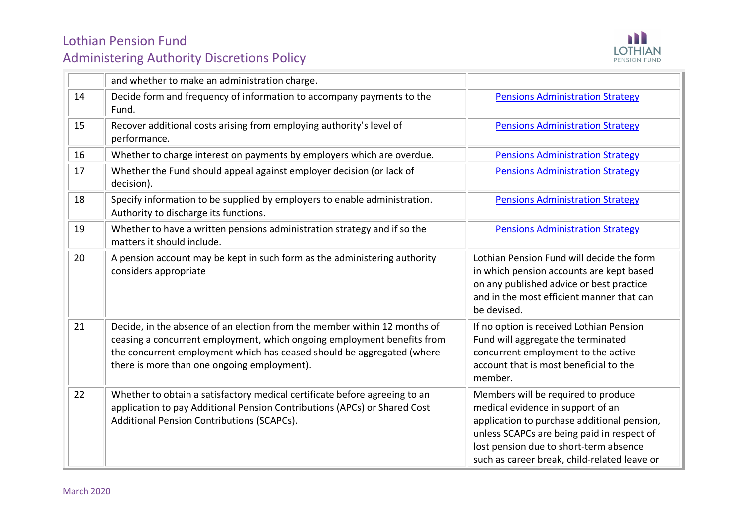

|    | and whether to make an administration charge.                                                                                                                                                                                                                                 |                                                                                                                                                                                                                                                                 |
|----|-------------------------------------------------------------------------------------------------------------------------------------------------------------------------------------------------------------------------------------------------------------------------------|-----------------------------------------------------------------------------------------------------------------------------------------------------------------------------------------------------------------------------------------------------------------|
| 14 | Decide form and frequency of information to accompany payments to the<br>Fund.                                                                                                                                                                                                | <b>Pensions Administration Strategy</b>                                                                                                                                                                                                                         |
| 15 | Recover additional costs arising from employing authority's level of<br>performance.                                                                                                                                                                                          | <b>Pensions Administration Strategy</b>                                                                                                                                                                                                                         |
| 16 | Whether to charge interest on payments by employers which are overdue.                                                                                                                                                                                                        | <b>Pensions Administration Strategy</b>                                                                                                                                                                                                                         |
| 17 | Whether the Fund should appeal against employer decision (or lack of<br>decision).                                                                                                                                                                                            | <b>Pensions Administration Strategy</b>                                                                                                                                                                                                                         |
| 18 | Specify information to be supplied by employers to enable administration.<br>Authority to discharge its functions.                                                                                                                                                            | <b>Pensions Administration Strategy</b>                                                                                                                                                                                                                         |
| 19 | Whether to have a written pensions administration strategy and if so the<br>matters it should include.                                                                                                                                                                        | <b>Pensions Administration Strategy</b>                                                                                                                                                                                                                         |
| 20 | A pension account may be kept in such form as the administering authority<br>considers appropriate                                                                                                                                                                            | Lothian Pension Fund will decide the form<br>in which pension accounts are kept based<br>on any published advice or best practice<br>and in the most efficient manner that can<br>be devised.                                                                   |
| 21 | Decide, in the absence of an election from the member within 12 months of<br>ceasing a concurrent employment, which ongoing employment benefits from<br>the concurrent employment which has ceased should be aggregated (where<br>there is more than one ongoing employment). | If no option is received Lothian Pension<br>Fund will aggregate the terminated<br>concurrent employment to the active<br>account that is most beneficial to the<br>member.                                                                                      |
| 22 | Whether to obtain a satisfactory medical certificate before agreeing to an<br>application to pay Additional Pension Contributions (APCs) or Shared Cost<br>Additional Pension Contributions (SCAPCs).                                                                         | Members will be required to produce<br>medical evidence in support of an<br>application to purchase additional pension,<br>unless SCAPCs are being paid in respect of<br>lost pension due to short-term absence<br>such as career break, child-related leave or |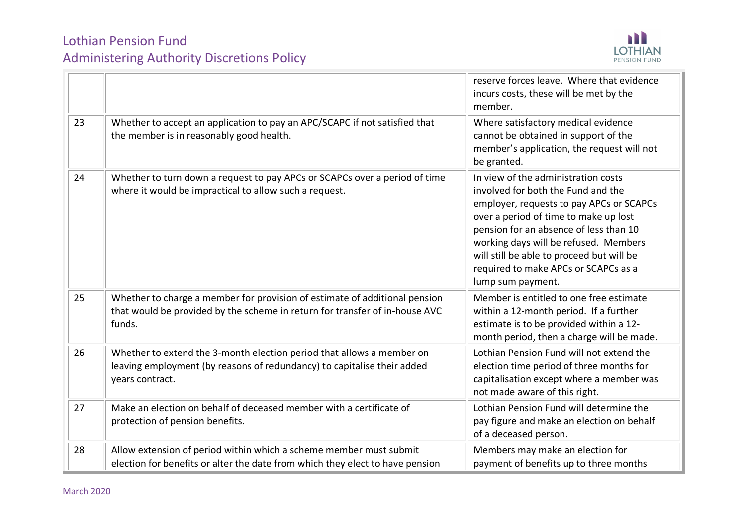

|    |                                                                                                                                                                     | reserve forces leave. Where that evidence<br>incurs costs, these will be met by the<br>member.                                                                                                                                                                                                                                                              |
|----|---------------------------------------------------------------------------------------------------------------------------------------------------------------------|-------------------------------------------------------------------------------------------------------------------------------------------------------------------------------------------------------------------------------------------------------------------------------------------------------------------------------------------------------------|
| 23 | Whether to accept an application to pay an APC/SCAPC if not satisfied that<br>the member is in reasonably good health.                                              | Where satisfactory medical evidence<br>cannot be obtained in support of the<br>member's application, the request will not<br>be granted.                                                                                                                                                                                                                    |
| 24 | Whether to turn down a request to pay APCs or SCAPCs over a period of time<br>where it would be impractical to allow such a request.                                | In view of the administration costs<br>involved for both the Fund and the<br>employer, requests to pay APCs or SCAPCs<br>over a period of time to make up lost<br>pension for an absence of less than 10<br>working days will be refused. Members<br>will still be able to proceed but will be<br>required to make APCs or SCAPCs as a<br>lump sum payment. |
| 25 | Whether to charge a member for provision of estimate of additional pension<br>that would be provided by the scheme in return for transfer of in-house AVC<br>funds. | Member is entitled to one free estimate<br>within a 12-month period. If a further<br>estimate is to be provided within a 12-<br>month period, then a charge will be made.                                                                                                                                                                                   |
| 26 | Whether to extend the 3-month election period that allows a member on<br>leaving employment (by reasons of redundancy) to capitalise their added<br>years contract. | Lothian Pension Fund will not extend the<br>election time period of three months for<br>capitalisation except where a member was<br>not made aware of this right.                                                                                                                                                                                           |
| 27 | Make an election on behalf of deceased member with a certificate of<br>protection of pension benefits.                                                              | Lothian Pension Fund will determine the<br>pay figure and make an election on behalf<br>of a deceased person.                                                                                                                                                                                                                                               |
| 28 | Allow extension of period within which a scheme member must submit<br>election for benefits or alter the date from which they elect to have pension                 | Members may make an election for<br>payment of benefits up to three months                                                                                                                                                                                                                                                                                  |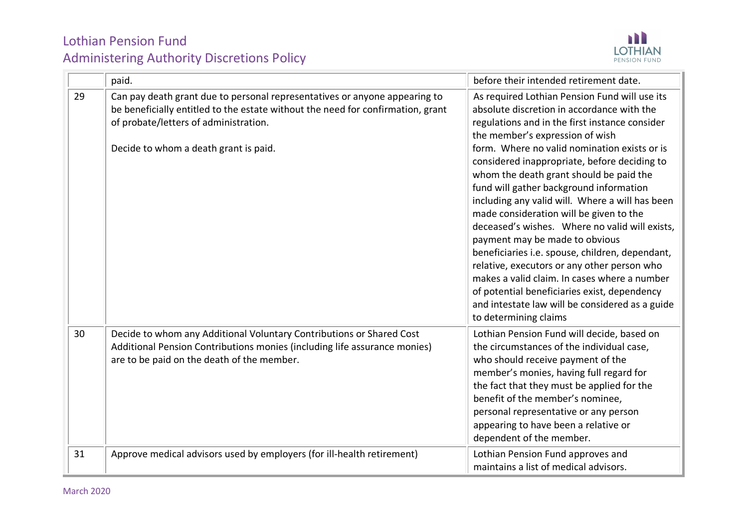

|    | paid.                                                                                                                                                                                                                                           | before their intended retirement date.                                                                                                                                                                                                                                                                                                                                                                                                                                                                                                                                                                                                                                                                                                                                                                                                 |
|----|-------------------------------------------------------------------------------------------------------------------------------------------------------------------------------------------------------------------------------------------------|----------------------------------------------------------------------------------------------------------------------------------------------------------------------------------------------------------------------------------------------------------------------------------------------------------------------------------------------------------------------------------------------------------------------------------------------------------------------------------------------------------------------------------------------------------------------------------------------------------------------------------------------------------------------------------------------------------------------------------------------------------------------------------------------------------------------------------------|
| 29 | Can pay death grant due to personal representatives or anyone appearing to<br>be beneficially entitled to the estate without the need for confirmation, grant<br>of probate/letters of administration.<br>Decide to whom a death grant is paid. | As required Lothian Pension Fund will use its<br>absolute discretion in accordance with the<br>regulations and in the first instance consider<br>the member's expression of wish<br>form. Where no valid nomination exists or is<br>considered inappropriate, before deciding to<br>whom the death grant should be paid the<br>fund will gather background information<br>including any valid will. Where a will has been<br>made consideration will be given to the<br>deceased's wishes. Where no valid will exists,<br>payment may be made to obvious<br>beneficiaries i.e. spouse, children, dependant,<br>relative, executors or any other person who<br>makes a valid claim. In cases where a number<br>of potential beneficiaries exist, dependency<br>and intestate law will be considered as a guide<br>to determining claims |
| 30 | Decide to whom any Additional Voluntary Contributions or Shared Cost<br>Additional Pension Contributions monies (including life assurance monies)<br>are to be paid on the death of the member.                                                 | Lothian Pension Fund will decide, based on<br>the circumstances of the individual case,<br>who should receive payment of the<br>member's monies, having full regard for<br>the fact that they must be applied for the<br>benefit of the member's nominee,<br>personal representative or any person<br>appearing to have been a relative or<br>dependent of the member.                                                                                                                                                                                                                                                                                                                                                                                                                                                                 |
| 31 | Approve medical advisors used by employers (for ill-health retirement)                                                                                                                                                                          | Lothian Pension Fund approves and<br>maintains a list of medical advisors.                                                                                                                                                                                                                                                                                                                                                                                                                                                                                                                                                                                                                                                                                                                                                             |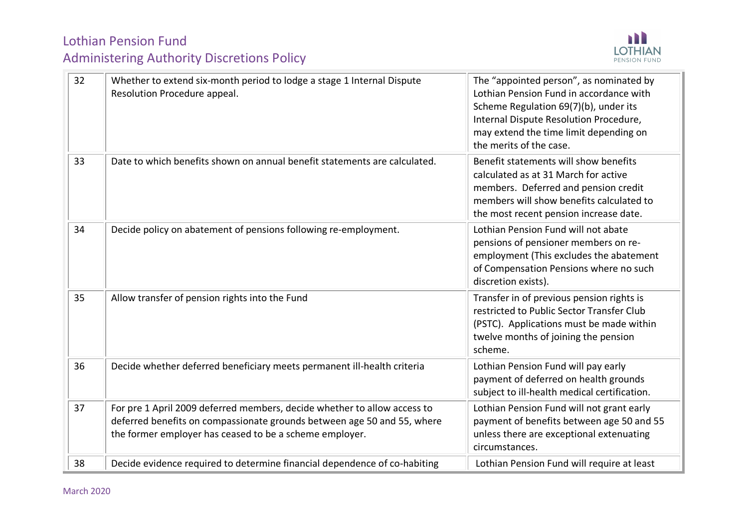

| 32 | Whether to extend six-month period to lodge a stage 1 Internal Dispute<br>Resolution Procedure appeal.                                                                                                         | The "appointed person", as nominated by<br>Lothian Pension Fund in accordance with<br>Scheme Regulation 69(7)(b), under its<br>Internal Dispute Resolution Procedure,<br>may extend the time limit depending on<br>the merits of the case. |
|----|----------------------------------------------------------------------------------------------------------------------------------------------------------------------------------------------------------------|--------------------------------------------------------------------------------------------------------------------------------------------------------------------------------------------------------------------------------------------|
| 33 | Date to which benefits shown on annual benefit statements are calculated.                                                                                                                                      | Benefit statements will show benefits<br>calculated as at 31 March for active<br>members. Deferred and pension credit<br>members will show benefits calculated to<br>the most recent pension increase date.                                |
| 34 | Decide policy on abatement of pensions following re-employment.                                                                                                                                                | Lothian Pension Fund will not abate<br>pensions of pensioner members on re-<br>employment (This excludes the abatement<br>of Compensation Pensions where no such<br>discretion exists).                                                    |
| 35 | Allow transfer of pension rights into the Fund                                                                                                                                                                 | Transfer in of previous pension rights is<br>restricted to Public Sector Transfer Club<br>(PSTC). Applications must be made within<br>twelve months of joining the pension<br>scheme.                                                      |
| 36 | Decide whether deferred beneficiary meets permanent ill-health criteria                                                                                                                                        | Lothian Pension Fund will pay early<br>payment of deferred on health grounds<br>subject to ill-health medical certification.                                                                                                               |
| 37 | For pre 1 April 2009 deferred members, decide whether to allow access to<br>deferred benefits on compassionate grounds between age 50 and 55, where<br>the former employer has ceased to be a scheme employer. | Lothian Pension Fund will not grant early<br>payment of benefits between age 50 and 55<br>unless there are exceptional extenuating<br>circumstances.                                                                                       |
| 38 | Decide evidence required to determine financial dependence of co-habiting                                                                                                                                      | Lothian Pension Fund will require at least                                                                                                                                                                                                 |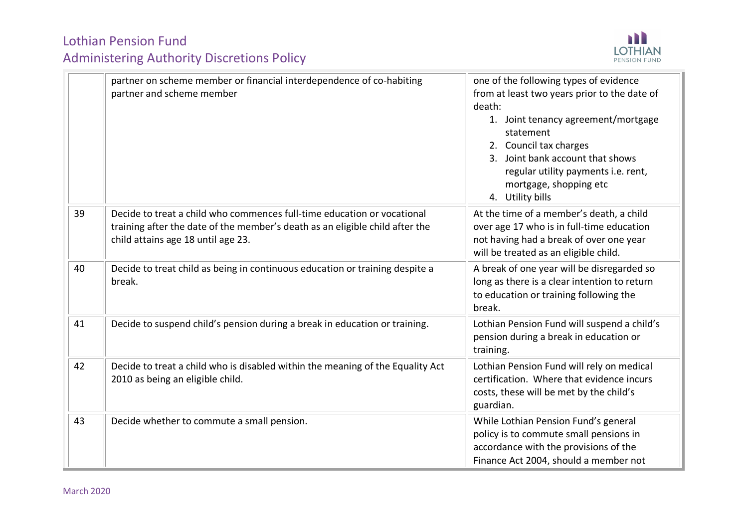

|    | partner on scheme member or financial interdependence of co-habiting<br>partner and scheme member                                                                                             | one of the following types of evidence<br>from at least two years prior to the date of<br>death:<br>1. Joint tenancy agreement/mortgage<br>statement<br>2. Council tax charges<br>3. Joint bank account that shows<br>regular utility payments i.e. rent,<br>mortgage, shopping etc<br>4. Utility bills |
|----|-----------------------------------------------------------------------------------------------------------------------------------------------------------------------------------------------|---------------------------------------------------------------------------------------------------------------------------------------------------------------------------------------------------------------------------------------------------------------------------------------------------------|
| 39 | Decide to treat a child who commences full-time education or vocational<br>training after the date of the member's death as an eligible child after the<br>child attains age 18 until age 23. | At the time of a member's death, a child<br>over age 17 who is in full-time education<br>not having had a break of over one year<br>will be treated as an eligible child.                                                                                                                               |
| 40 | Decide to treat child as being in continuous education or training despite a<br>break.                                                                                                        | A break of one year will be disregarded so<br>long as there is a clear intention to return<br>to education or training following the<br>break.                                                                                                                                                          |
| 41 | Decide to suspend child's pension during a break in education or training.                                                                                                                    | Lothian Pension Fund will suspend a child's<br>pension during a break in education or<br>training.                                                                                                                                                                                                      |
| 42 | Decide to treat a child who is disabled within the meaning of the Equality Act<br>2010 as being an eligible child.                                                                            | Lothian Pension Fund will rely on medical<br>certification. Where that evidence incurs<br>costs, these will be met by the child's<br>guardian.                                                                                                                                                          |
| 43 | Decide whether to commute a small pension.                                                                                                                                                    | While Lothian Pension Fund's general<br>policy is to commute small pensions in<br>accordance with the provisions of the<br>Finance Act 2004, should a member not                                                                                                                                        |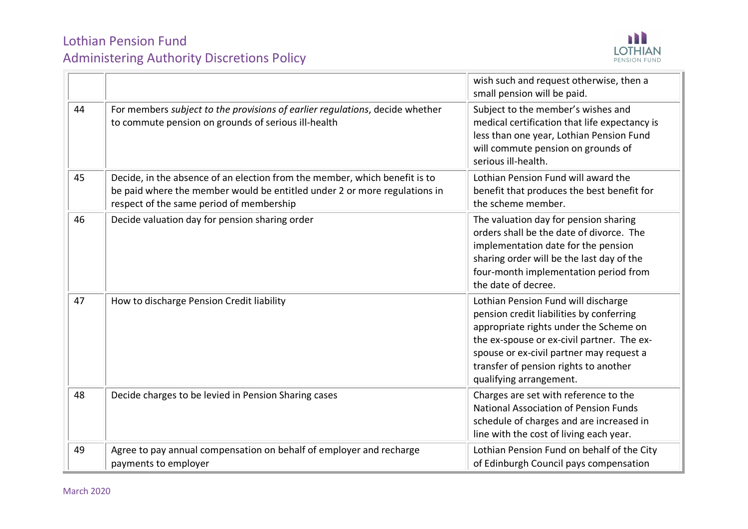

|    |                                                                                                                                                                                                     | wish such and request otherwise, then a<br>small pension will be paid.                                                                                                                                                                                                                  |
|----|-----------------------------------------------------------------------------------------------------------------------------------------------------------------------------------------------------|-----------------------------------------------------------------------------------------------------------------------------------------------------------------------------------------------------------------------------------------------------------------------------------------|
| 44 | For members subject to the provisions of earlier regulations, decide whether<br>to commute pension on grounds of serious ill-health                                                                 | Subject to the member's wishes and<br>medical certification that life expectancy is<br>less than one year, Lothian Pension Fund<br>will commute pension on grounds of<br>serious ill-health.                                                                                            |
| 45 | Decide, in the absence of an election from the member, which benefit is to<br>be paid where the member would be entitled under 2 or more regulations in<br>respect of the same period of membership | Lothian Pension Fund will award the<br>benefit that produces the best benefit for<br>the scheme member.                                                                                                                                                                                 |
| 46 | Decide valuation day for pension sharing order                                                                                                                                                      | The valuation day for pension sharing<br>orders shall be the date of divorce. The<br>implementation date for the pension<br>sharing order will be the last day of the<br>four-month implementation period from<br>the date of decree.                                                   |
| 47 | How to discharge Pension Credit liability                                                                                                                                                           | Lothian Pension Fund will discharge<br>pension credit liabilities by conferring<br>appropriate rights under the Scheme on<br>the ex-spouse or ex-civil partner. The ex-<br>spouse or ex-civil partner may request a<br>transfer of pension rights to another<br>qualifying arrangement. |
| 48 | Decide charges to be levied in Pension Sharing cases                                                                                                                                                | Charges are set with reference to the<br><b>National Association of Pension Funds</b><br>schedule of charges and are increased in<br>line with the cost of living each year.                                                                                                            |
| 49 | Agree to pay annual compensation on behalf of employer and recharge<br>payments to employer                                                                                                         | Lothian Pension Fund on behalf of the City<br>of Edinburgh Council pays compensation                                                                                                                                                                                                    |